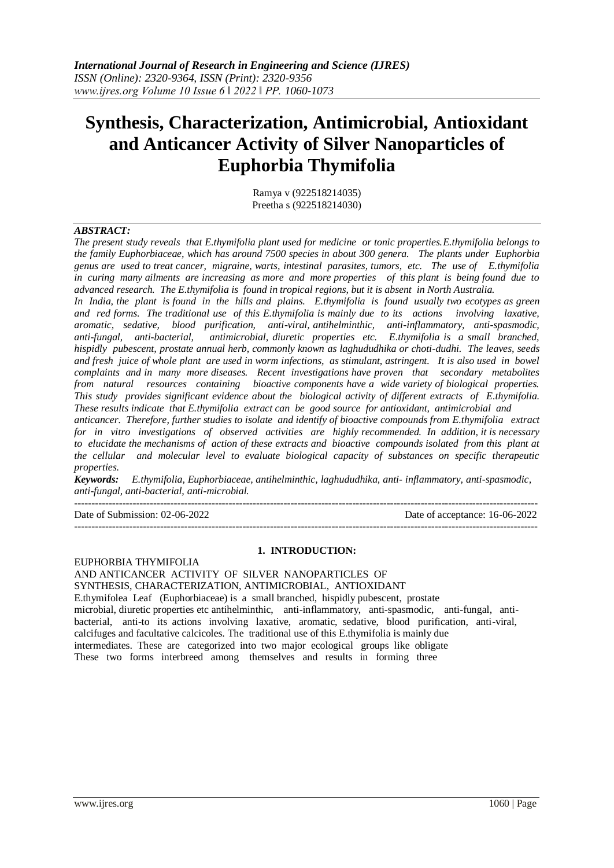# **Synthesis, Characterization, Antimicrobial, Antioxidant and Anticancer Activity of Silver Nanoparticles of Euphorbia Thymifolia**

Ramya v (922518214035) Preetha s (922518214030)

#### *ABSTRACT:*

*The present study reveals that E.thymifolia plant used for medicine or tonic properties.E.thymifolia belongs to the family Euphorbiaceae, which has around 7500 species in about 300 genera. The plants under Euphorbia genus are used to treat cancer, migraine, warts, intestinal parasites, tumors, etc. The use of E.thymifolia in curing many ailments are increasing as more and more properties of this plant is being found due to advanced research. The E.thymifolia is found in tropical regions, but it is absent in North Australia.*

*In India, the plant is found in the hills and plains. E.thymifolia is found usually two ecotypes as green and red forms. The traditional use of this E.thymifolia is mainly due to its actions involving laxative, aromatic, sedative, blood purification, anti-viral, antihelminthic, anti-inflammatory, anti-spasmodic, anti-fungal, anti-bacterial, antimicrobial, diuretic properties etc. E.thymifolia is a small branched, hispidly pubescent, prostate annual herb, commonly known as laghududhika or choti-dudhi. The leaves, seeds and fresh juice of whole plant are used in worm infections, as stimulant, astringent. It is also used in bowel complaints and in many more diseases. Recent investigations have proven that secondary metabolites from natural resources containing bioactive components have a wide variety of biological properties. This study provides significant evidence about the biological activity of different extracts of E.thymifolia. These results indicate that E.thymifolia extract can be good source for antioxidant, antimicrobial and*

*anticancer. Therefore, further studies to isolate and identify of bioactive compounds from E.thymifolia extract for in vitro investigations of observed activities are highly recommended. In addition, it is necessary to elucidate the mechanisms of action of these extracts and bioactive compounds isolated from this plant at the cellular and molecular level to evaluate biological capacity of substances on specific therapeutic properties.*

*Keywords: E.thymifolia, Euphorbiaceae, antihelminthic, laghududhika, anti- inflammatory, anti-spasmodic, anti-fungal, anti-bacterial, anti-microbial.* ---------------------------------------------------------------------------------------------------------------------------------------

Date of Submission: 02-06-2022 Date of acceptance: 16-06-2022

---------------------------------------------------------------------------------------------------------------------------------------

#### **1. INTRODUCTION:**

EUPHORBIA THYMIFOLIA AND ANTICANCER ACTIVITY OF SILVER NANOPARTICLES OF SYNTHESIS, CHARACTERIZATION, ANTIMICROBIAL, ANTIOXIDANT E.thymifolea Leaf (Euphorbiaceae) is a small branched, hispidly pubescent, prostate microbial, diuretic properties etc antihelminthic, anti-inflammatory, anti-spasmodic, anti-fungal, antibacterial, anti-to its actions involving laxative, aromatic, sedative, blood purification, anti-viral, calcifuges and facultative calcicoles. The traditional use of this E.thymifolia is mainly due intermediates. These are categorized into two major ecological groups like obligate These two forms interbreed among themselves and results in forming three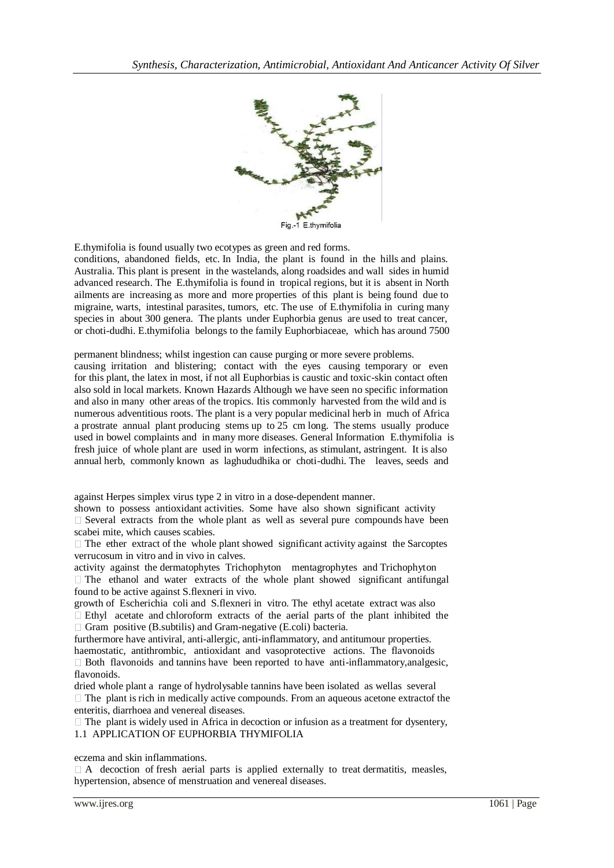

E.thymifolia is found usually two ecotypes as green and red forms.

conditions, abandoned fields, etc. In India, the plant is found in the hills and plains. Australia. This plant is present in the wastelands, along roadsides and wall sides in humid advanced research. The E.thymifolia is found in tropical regions, but it is absent in North ailments are increasing as more and more properties of this plant is being found due to migraine, warts, intestinal parasites, tumors, etc. The use of E.thymifolia in curing many species in about 300 genera. The plants under Euphorbia genus are used to treat cancer, or choti-dudhi. E.thymifolia belongs to the family Euphorbiaceae, which has around 7500

permanent blindness; whilst ingestion can cause purging or more severe problems.

causing irritation and blistering; contact with the eyes causing temporary or even for this plant, the latex in most, if not all Euphorbias is caustic and toxic-skin contact often also sold in local markets. Known Hazards Although we have seen no specific information and also in many other areas of the tropics. Itis commonly harvested from the wild and is numerous adventitious roots. The plant is a very popular medicinal herb in much of Africa a prostrate annual plant producing stems up to 25 cm long. The stems usually produce used in bowel complaints and in many more diseases. General Information E.thymifolia is fresh juice of whole plant are used in worm infections, as stimulant, astringent. It is also annual herb, commonly known as laghududhika or choti-dudhi. The leaves, seeds and

against Herpes simplex virus type 2 in vitro in a dose-dependent manner.

shown to possess antioxidant activities. Some have also shown significant activity  $\Box$  Several extracts from the whole plant as well as several pure compounds have been scabei mite, which causes scabies.

 $\Box$  The ether extract of the whole plant showed significant activity against the Sarcoptes verrucosum in vitro and in vivo in calves.

activity against the dermatophytes Trichophyton mentagrophytes and Trichophyton  $\Box$  The ethanol and water extracts of the whole plant showed significant antifungal found to be active against S.flexneri in vivo.

growth of Escherichia coli and S.flexneri in vitro. The ethyl acetate extract was also  $\Box$  Ethyl acetate and chloroform extracts of the aerial parts of the plant inhibited the  $\Box$  Gram positive (B.subtilis) and Gram-negative (E.coli) bacteria.

furthermore have antiviral, anti-allergic, anti-inflammatory, and antitumour properties. haemostatic, antithrombic, antioxidant and vasoprotective actions. The flavonoids

 $\Box$  Both flavonoids and tannins have been reported to have anti-inflammatory, analgesic, flavonoids.

dried whole plant a range of hydrolysable tannins have been isolated as wellas several  $\Box$  The plant is rich in medically active compounds. From an aqueous acetone extractof the enteritis, diarrhoea and venereal diseases.

 $\Box$  The plant is widely used in Africa in decoction or infusion as a treatment for dysentery, 1.1 APPLICATION OF EUPHORBIA THYMIFOLIA

eczema and skin inflammations.

 $\Box$  A decoction of fresh aerial parts is applied externally to treat dermatitis, measles, hypertension, absence of menstruation and venereal diseases.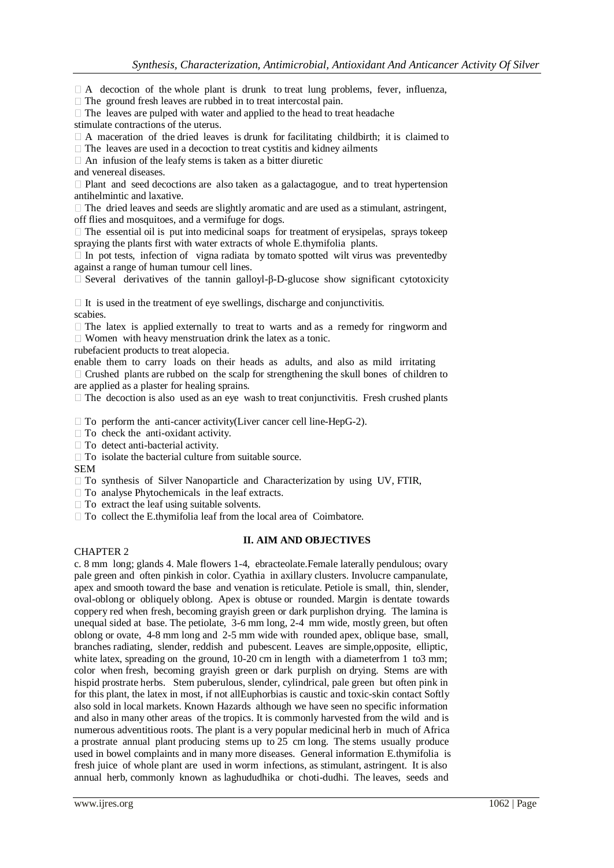$\Box$  A decoction of the whole plant is drunk to treat lung problems, fever, influenza,

 $\Box$  The ground fresh leaves are rubbed in to treat intercostal pain.

## $\Box$  The leaves are pulped with water and applied to the head to treat headache

stimulate contractions of the uterus.

 $\Box$  A maceration of the dried leaves is drunk for facilitating childbirth; it is claimed to

 $\Box$  The leaves are used in a decoction to treat cystitis and kidney ailments

 $\Box$  An infusion of the leafy stems is taken as a bitter diuretic

and venereal diseases.

 $\Box$  Plant and seed decoctions are also taken as a galactagogue, and to treat hypertension antihelmintic and laxative.

 $\Box$  The dried leaves and seeds are slightly aromatic and are used as a stimulant, astringent, off flies and mosquitoes, and a vermifuge for dogs.

 $\Box$  The essential oil is put into medicinal soaps for treatment of erysipelas, sprays tokeep spraying the plants first with water extracts of whole E.thymifolia plants.

 $\Box$  In pot tests, infection of vigna radiata by tomato spotted wilt virus was prevented by against a range of human tumour cell lines.

 $\Box$  Several derivatives of the tannin galloyl-β-D-glucose show significant cytotoxicity

 $\Box$  It is used in the treatment of eye swellings, discharge and conjunctivitis. scabies.

 $\Box$  The latex is applied externally to treat to warts and as a remedy for ringworm and  $\Box$  Women with heavy menstruation drink the latex as a tonic.

rubefacient products to treat alopecia.

enable them to carry loads on their heads as adults, and also as mild irritating  $\Box$  Crushed plants are rubbed on the scalp for strengthening the skull bones of children to are applied as a plaster for healing sprains.

 $\Box$  The decoction is also used as an eye wash to treat conjunctivitis. Fresh crushed plants

 $\Box$  To perform the anti-cancer activity(Liver cancer cell line-HepG-2).

 $\Box$  To check the anti-oxidant activity.

□ To detect anti-bacterial activity.

 $\Box$  To isolate the bacterial culture from suitable source.

SEM

 $\Box$  To synthesis of Silver Nanoparticle and Characterization by using UV, FTIR,

 $\Box$  To analyse Phytochemicals in the leaf extracts.

 $\Box$  To extract the leaf using suitable solvents.

 $\Box$  To collect the E.thymifolia leaf from the local area of Coimbatore.

## **II. AIM AND OBJECTIVES**

## CHAPTER 2

c. 8 mm long; glands 4. Male flowers 1-4, ebracteolate.Female laterally pendulous; ovary pale green and often pinkish in color. Cyathia in axillary clusters. Involucre campanulate, apex and smooth toward the base and venation is reticulate. Petiole is small, thin, slender, oval-oblong or obliquely oblong. Apex is obtuse or rounded. Margin is dentate towards coppery red when fresh, becoming grayish green or dark purplishon drying. The lamina is unequal sided at base. The petiolate, 3-6 mm long, 2-4 mm wide, mostly green, but often oblong or ovate, 4-8 mm long and 2-5 mm wide with rounded apex, oblique base, small, branches radiating, slender, reddish and pubescent. Leaves are simple,opposite, elliptic, white latex, spreading on the ground, 10-20 cm in length with a diameterfrom 1 to3 mm; color when fresh, becoming grayish green or dark purplish on drying. Stems are with hispid prostrate herbs. Stem puberulous, slender, cylindrical, pale green but often pink in for this plant, the latex in most, if not allEuphorbias is caustic and toxic-skin contact Softly also sold in local markets. Known Hazards although we have seen no specific information and also in many other areas of the tropics. It is commonly harvested from the wild and is numerous adventitious roots. The plant is a very popular medicinal herb in much of Africa a prostrate annual plant producing stems up to 25 cm long. The stems usually produce used in bowel complaints and in many more diseases. General information E.thymifolia is fresh juice of whole plant are used in worm infections, as stimulant, astringent. It is also annual herb, commonly known as laghududhika or choti-dudhi. The leaves, seeds and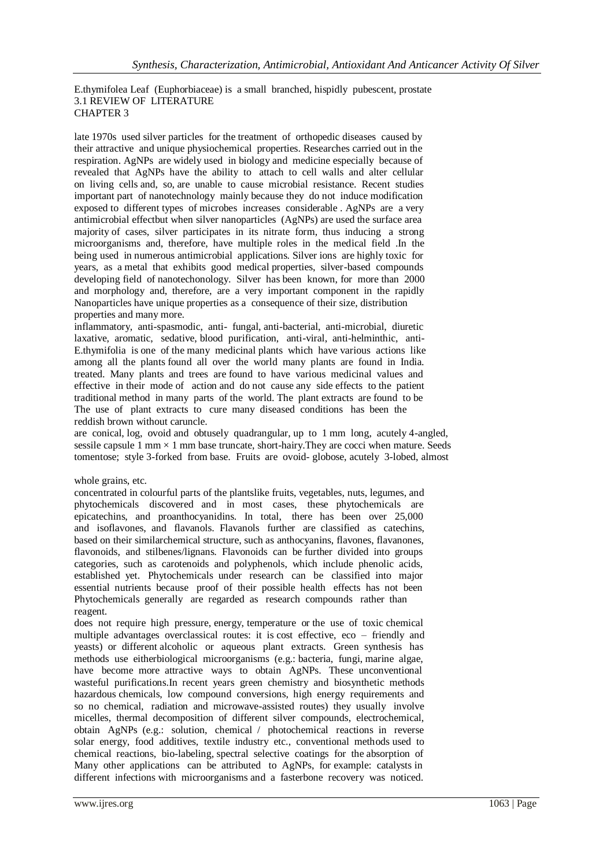E.thymifolea Leaf (Euphorbiaceae) is a small branched, hispidly pubescent, prostate 3.1 REVIEW OF LITERATURE CHAPTER 3

late 1970s used silver particles for the treatment of orthopedic diseases caused by their attractive and unique physiochemical properties. Researches carried out in the respiration. AgNPs are widely used in biology and medicine especially because of revealed that AgNPs have the ability to attach to cell walls and alter cellular on living cells and, so, are unable to cause microbial resistance. Recent studies important part of nanotechnology mainly because they do not induce modification exposed to different types of microbes increases considerable . AgNPs are a very antimicrobial effectbut when silver nanoparticles (AgNPs) are used the surface area majority of cases, silver participates in its nitrate form, thus inducing a strong microorganisms and, therefore, have multiple roles in the medical field .In the being used in numerous antimicrobial applications. Silver ions are highly toxic for years, as a metal that exhibits good medical properties, silver-based compounds developing field of nanotechonology. Silver has been known, for more than 2000 and morphology and, therefore, are a very important component in the rapidly Nanoparticles have unique properties as a consequence of their size, distribution properties and many more.

inflammatory, anti-spasmodic, anti- fungal, anti-bacterial, anti-microbial, diuretic laxative, aromatic, sedative, blood purification, anti-viral, anti-helminthic, anti-E.thymifolia is one of the many medicinal plants which have various actions like among all the plants found all over the world many plants are found in India. treated. Many plants and trees are found to have various medicinal values and effective in their mode of action and do not cause any side effects to the patient traditional method in many parts of the world. The plant extracts are found to be The use of plant extracts to cure many diseased conditions has been the reddish brown without caruncle.

are conical, log, ovoid and obtusely quadrangular, up to 1 mm long, acutely 4-angled, sessile capsule  $1 \text{ mm} \times 1 \text{ mm}$  base truncate, short-hairy. They are cocci when mature. Seeds tomentose; style 3-forked from base. Fruits are ovoid- globose, acutely 3-lobed, almost

### whole grains, etc.

concentrated in colourful parts of the plantslike fruits, vegetables, nuts, legumes, and phytochemicals discovered and in most cases, these phytochemicals are epicatechins, and proanthocyanidins. In total, there has been over 25,000 and isoflavones, and flavanols. Flavanols further are classified as catechins, based on their similarchemical structure, such as anthocyanins, flavones, flavanones, flavonoids, and stilbenes/lignans. Flavonoids can be further divided into groups categories, such as carotenoids and polyphenols, which include phenolic acids, established yet. Phytochemicals under research can be classified into major essential nutrients because proof of their possible health effects has not been Phytochemicals generally are regarded as research compounds rather than reagent.

does not require high pressure, energy, temperature or the use of toxic chemical multiple advantages overclassical routes: it is cost effective, eco – friendly and yeasts) or different alcoholic or aqueous plant extracts. Green synthesis has methods use eitherbiological microorganisms (e.g.: bacteria, fungi, marine algae, have become more attractive ways to obtain AgNPs. These unconventional wasteful purifications.In recent years green chemistry and biosynthetic methods hazardous chemicals, low compound conversions, high energy requirements and so no chemical, radiation and microwave-assisted routes) they usually involve micelles, thermal decomposition of different silver compounds, electrochemical, obtain AgNPs (e.g.: solution, chemical / photochemical reactions in reverse solar energy, food additives, textile industry etc., conventional methods used to chemical reactions, bio-labeling, spectral selective coatings for the absorption of Many other applications can be attributed to AgNPs, for example: catalysts in different infections with microorganisms and a fasterbone recovery was noticed.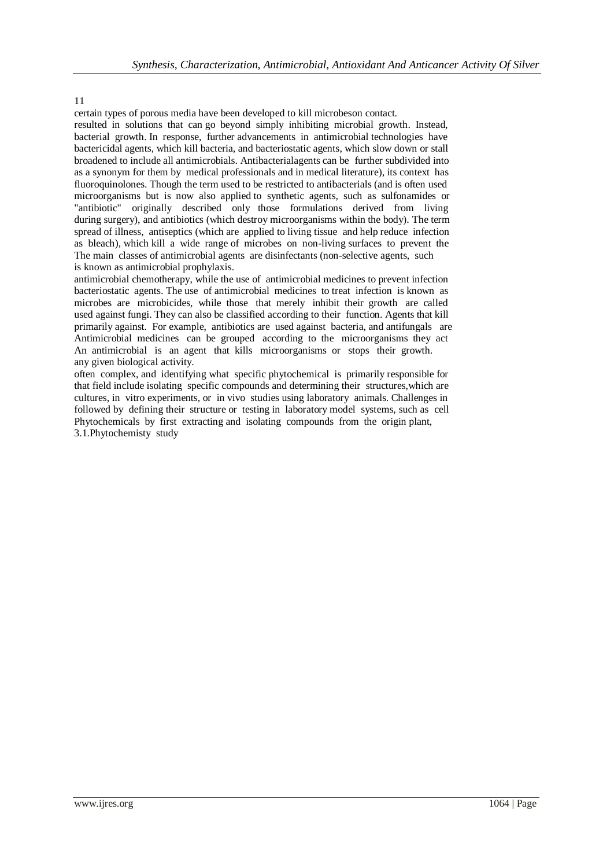certain types of porous media have been developed to kill microbeson contact.

resulted in solutions that can go beyond simply inhibiting microbial growth. Instead, bacterial growth. In response, further advancements in antimicrobial technologies have bactericidal agents, which kill bacteria, and bacteriostatic agents, which slow down or stall broadened to include all antimicrobials. Antibacterialagents can be further subdivided into as a synonym for them by medical professionals and in medical literature), its context has fluoroquinolones. Though the term used to be restricted to antibacterials (and is often used microorganisms but is now also applied to synthetic agents, such as sulfonamides or "antibiotic" originally described only those formulations derived from living during surgery), and antibiotics (which destroy microorganisms within the body). The term spread of illness, antiseptics (which are applied to living tissue and help reduce infection as bleach), which kill a wide range of microbes on non-living surfaces to prevent the The main classes of antimicrobial agents are disinfectants (non-selective agents, such is known as antimicrobial prophylaxis.

antimicrobial chemotherapy, while the use of antimicrobial medicines to prevent infection bacteriostatic agents. The use of antimicrobial medicines to treat infection is known as microbes are microbicides, while those that merely inhibit their growth are called used against fungi. They can also be classified according to their function. Agents that kill primarily against. For example, antibiotics are used against bacteria, and antifungals are Antimicrobial medicines can be grouped according to the microorganisms they act An antimicrobial is an agent that kills microorganisms or stops their growth. any given biological activity.

often complex, and identifying what specific phytochemical is primarily responsible for that field include isolating specific compounds and determining their structures,which are cultures, in vitro experiments, or in vivo studies using laboratory animals. Challenges in followed by defining their structure or testing in laboratory model systems, such as cell Phytochemicals by first extracting and isolating compounds from the origin plant, 3.1.Phytochemisty study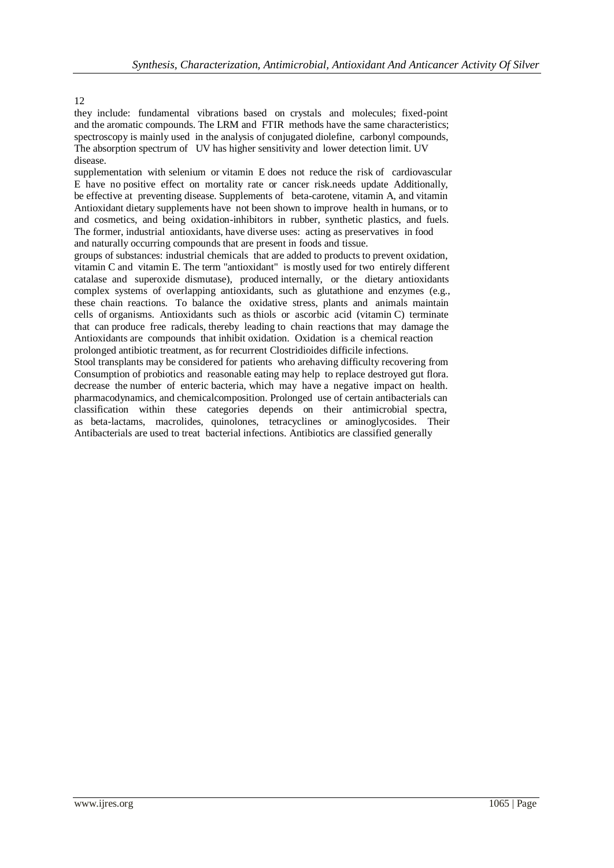they include: fundamental vibrations based on crystals and molecules; fixed-point and the aromatic compounds. The LRM and FTIR methods have the same characteristics; spectroscopy is mainly used in the analysis of conjugated diolefine, carbonyl compounds, The absorption spectrum of UV has higher sensitivity and lower detection limit. UV disease.

supplementation with selenium or vitamin E does not reduce the risk of cardiovascular E have no positive effect on mortality rate or cancer risk.needs update Additionally, be effective at preventing disease. Supplements of beta-carotene, vitamin A, and vitamin Antioxidant dietary supplements have not been shown to improve health in humans, or to and cosmetics, and being oxidation-inhibitors in rubber, synthetic plastics, and fuels. The former, industrial antioxidants, have diverse uses: acting as preservatives in food and naturally occurring compounds that are present in foods and tissue.

groups of substances: industrial chemicals that are added to products to prevent oxidation, vitamin C and vitamin E. The term "antioxidant" is mostly used for two entirely different catalase and superoxide dismutase), produced internally, or the dietary antioxidants complex systems of overlapping antioxidants, such as glutathione and enzymes (e.g., these chain reactions. To balance the oxidative stress, plants and animals maintain cells of organisms. Antioxidants such as thiols or ascorbic acid (vitamin C) terminate that can produce free radicals, thereby leading to chain reactions that may damage the Antioxidants are compounds that inhibit oxidation. Oxidation is a chemical reaction prolonged antibiotic treatment, as for recurrent Clostridioides difficile infections.

Stool transplants may be considered for patients who arehaving difficulty recovering from Consumption of probiotics and reasonable eating may help to replace destroyed gut flora. decrease the number of enteric bacteria, which may have a negative impact on health. pharmacodynamics, and chemicalcomposition. Prolonged use of certain antibacterials can classification within these categories depends on their antimicrobial spectra, as beta-lactams, macrolides, quinolones, tetracyclines or aminoglycosides. Their Antibacterials are used to treat bacterial infections. Antibiotics are classified generally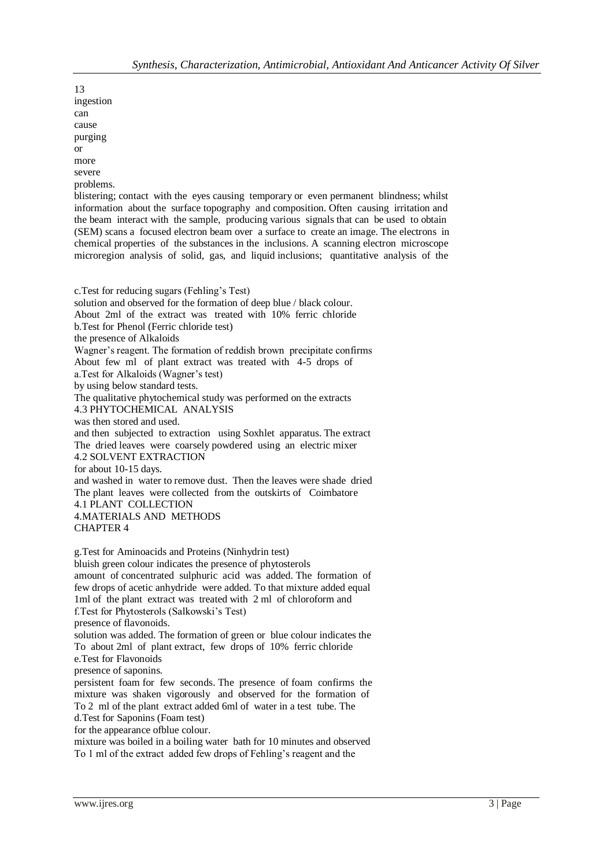13 ingestion can cause purging or more severe problems.

blistering; contact with the eyes causing temporary or even permanent blindness; whilst information about the surface topography and composition. Often causing irritation and the beam interact with the sample, producing various signals that can be used to obtain (SEM) scans a focused electron beam over a surface to create an image. The electrons in chemical properties of the substances in the inclusions. A scanning electron microscope microregion analysis of solid, gas, and liquid inclusions; quantitative analysis of the

c.Test for reducing sugars (Fehling's Test) solution and observed for the formation of deep blue / black colour. About 2ml of the extract was treated with 10% ferric chloride b.Test for Phenol (Ferric chloride test) the presence of Alkaloids Wagner's reagent. The formation of reddish brown precipitate confirms About few ml of plant extract was treated with 4-5 drops of a.Test for Alkaloids (Wagner's test) by using below standard tests. The qualitative phytochemical study was performed on the extracts 4.3 PHYTOCHEMICAL ANALYSIS was then stored and used. and then subjected to extraction using Soxhlet apparatus. The extract The dried leaves were coarsely powdered using an electric mixer 4.2 SOLVENT EXTRACTION for about 10-15 days. and washed in water to remove dust. Then the leaves were shade dried The plant leaves were collected from the outskirts of Coimbatore 4.1 PLANT COLLECTION 4.MATERIALS AND METHODS CHAPTER 4

g.Test for Aminoacids and Proteins (Ninhydrin test) bluish green colour indicates the presence of phytosterols amount of concentrated sulphuric acid was added. The formation of few drops of acetic anhydride were added. To that mixture added equal 1ml of the plant extract was treated with 2 ml of chloroform and f.Test for Phytosterols (Salkowski's Test) presence of flavonoids. solution was added. The formation of green or blue colour indicates the To about 2ml of plant extract, few drops of 10% ferric chloride e.Test for Flavonoids presence of saponins. persistent foam for few seconds. The presence of foam confirms the mixture was shaken vigorously and observed for the formation of To 2 ml of the plant extract added 6ml of water in a test tube. The d.Test for Saponins (Foam test) for the appearance ofblue colour. mixture was boiled in a boiling water bath for 10 minutes and observed To 1 ml of the extract added few drops of Fehling's reagent and the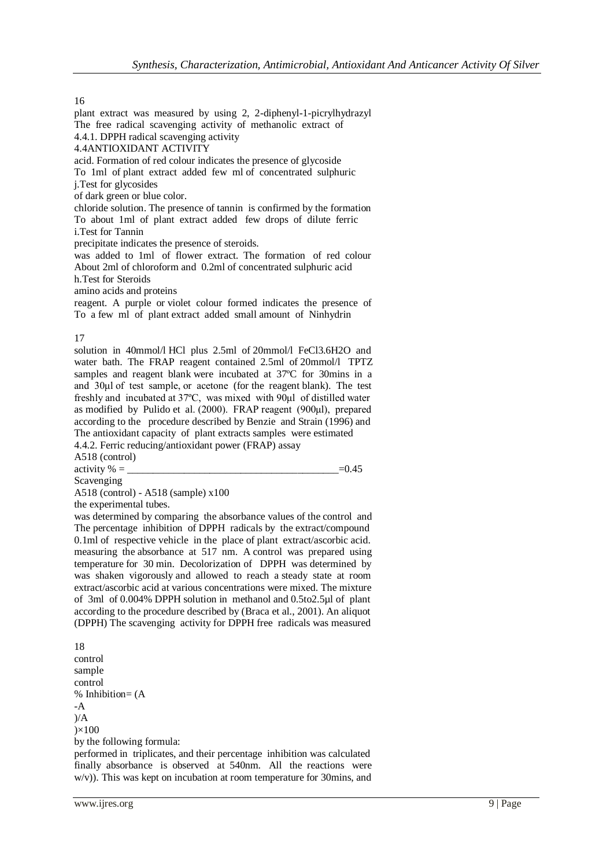The free radical scavenging activity of methanolic extract of 4.4.1. DPPH radical scavenging activity 4.4ANTIOXIDANT ACTIVITY acid. Formation of red colour indicates the presence of glycoside To 1ml of plant extract added few ml of concentrated sulphuric j.Test for glycosides of dark green or blue color. chloride solution. The presence of tannin is confirmed by the formation To about 1ml of plant extract added few drops of dilute ferric i.Test for Tannin precipitate indicates the presence of steroids. was added to 1ml of flower extract. The formation of red colour About 2ml of chloroform and 0.2ml of concentrated sulphuric acid h.Test for Steroids

plant extract was measured by using 2, 2-diphenyl-1-picrylhydrazyl

amino acids and proteins

reagent. A purple or violet colour formed indicates the presence of To a few ml of plant extract added small amount of Ninhydrin

#### 17

solution in 40mmol/l HCl plus 2.5ml of 20mmol/l FeCl3.6H2O and water bath. The FRAP reagent contained 2.5ml of 20mmol/l TPTZ samples and reagent blank were incubated at 37ºC for 30mins in a and 30μl of test sample, or acetone (for the reagent blank). The test freshly and incubated at 37ºC, was mixed with 90μl of distilled water as modified by Pulido et al. (2000). FRAP reagent (900μl), prepared according to the procedure described by Benzie and Strain (1996) and The antioxidant capacity of plant extracts samples were estimated 4.4.2. Ferric reducing/antioxidant power (FRAP) assay

A518 (control)

activity  $\% =$   $= 0.45$ 

Scavenging

A518 (control) - A518 (sample) x100

the experimental tubes.

was determined by comparing the absorbance values of the control and The percentage inhibition of DPPH radicals by the extract/compound 0.1ml of respective vehicle in the place of plant extract/ascorbic acid. measuring the absorbance at 517 nm. A control was prepared using temperature for 30 min. Decolorization of DPPH was determined by was shaken vigorously and allowed to reach a steady state at room extract/ascorbic acid at various concentrations were mixed. The mixture of 3ml of 0.004% DPPH solution in methanol and 0.5to2.5µl of plant according to the procedure described by (Braca et al., 2001). An aliquot (DPPH) The scavenging activity for DPPH free radicals was measured

18 control sample control % Inhibition= (A -A  $)/A$  $\times 100$ by the following formula: performed in triplicates, and their percentage inhibition was calculated

finally absorbance is observed at 540nm. All the reactions were w/v)). This was kept on incubation at room temperature for 30mins, and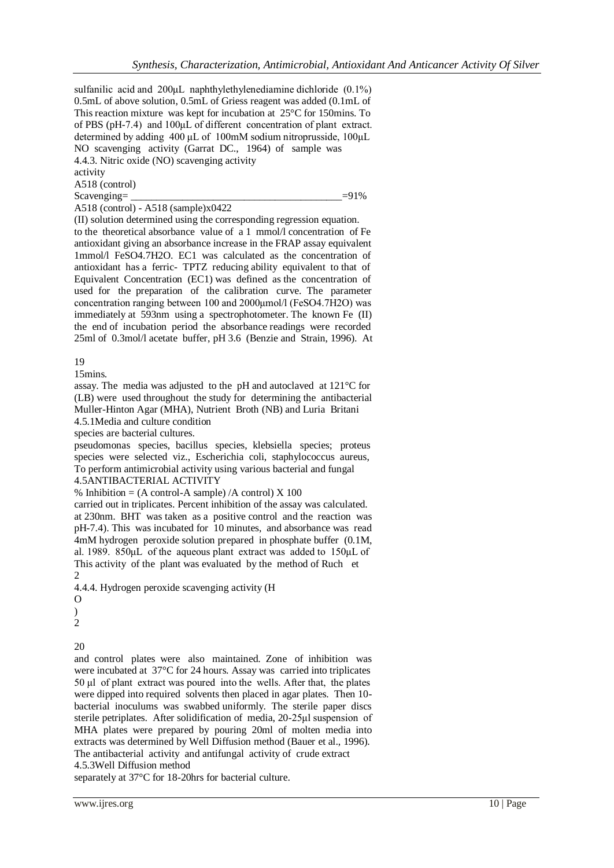sulfanilic acid and 200μL naphthylethylenediamine dichloride (0.1%) 0.5mL of above solution, 0.5mL of Griess reagent was added (0.1mL of This reaction mixture was kept for incubation at 25°C for 150mins. To of PBS (pH-7.4) and 100μL of different concentration of plant extract. determined by adding 400 μL of 100mM sodium nitroprusside, 100μL NO scavenging activity (Garrat DC., 1964) of sample was 4.4.3. Nitric oxide (NO) scavenging activity

activity

A518 (control)

 $Scavenging =$   $=91\%$ 

A518 (control) - A518 (sample)x0422

(II) solution determined using the corresponding regression equation. to the theoretical absorbance value of a 1 mmol/l concentration of Fe antioxidant giving an absorbance increase in the FRAP assay equivalent 1mmol/l FeSO4.7H2O. EC1 was calculated as the concentration of antioxidant has a ferric- TPTZ reducing ability equivalent to that of Equivalent Concentration (EC1) was defined as the concentration of used for the preparation of the calibration curve. The parameter concentration ranging between 100 and 2000μmol/l (FeSO4.7H2O) was immediately at 593nm using a spectrophotometer. The known Fe (II) the end of incubation period the absorbance readings were recorded 25ml of 0.3mol/l acetate buffer, pH 3.6 (Benzie and Strain, 1996). At

19

15mins.

assay. The media was adjusted to the pH and autoclaved at 121°C for (LB) were used throughout the study for determining the antibacterial Muller-Hinton Agar (MHA), Nutrient Broth (NB) and Luria Britani 4.5.1Media and culture condition

species are bacterial cultures.

pseudomonas species, bacillus species, klebsiella species; proteus species were selected viz., Escherichia coli, staphylococcus aureus, To perform antimicrobial activity using various bacterial and fungal

4.5ANTIBACTERIAL ACTIVITY

% Inhibition =  $(A \text{ control-A sample})/A \text{ control}$   $X \, 100$ 

carried out in triplicates. Percent inhibition of the assay was calculated. at 230nm. BHT was taken as a positive control and the reaction was pH-7.4). This was incubated for 10 minutes, and absorbance was read 4mM hydrogen peroxide solution prepared in phosphate buffer (0.1M, al. 1989. 850μL of the aqueous plant extract was added to 150μL of This activity of the plant was evaluated by the method of Ruch et  $\mathcal{D}_{\mathcal{L}}$ 

4.4.4. Hydrogen peroxide scavenging activity (H

O

 $\lambda$ 

2

20

and control plates were also maintained. Zone of inhibition was were incubated at 37°C for 24 hours. Assay was carried into triplicates 50 μl of plant extract was poured into the wells. After that, the plates were dipped into required solvents then placed in agar plates. Then 10 bacterial inoculums was swabbed uniformly. The sterile paper discs sterile petriplates. After solidification of media, 20-25μl suspension of MHA plates were prepared by pouring 20ml of molten media into extracts was determined by Well Diffusion method (Bauer et al., 1996). The antibacterial activity and antifungal activity of crude extract

separately at 37°C for 18-20hrs for bacterial culture.

<sup>4.5.3</sup>Well Diffusion method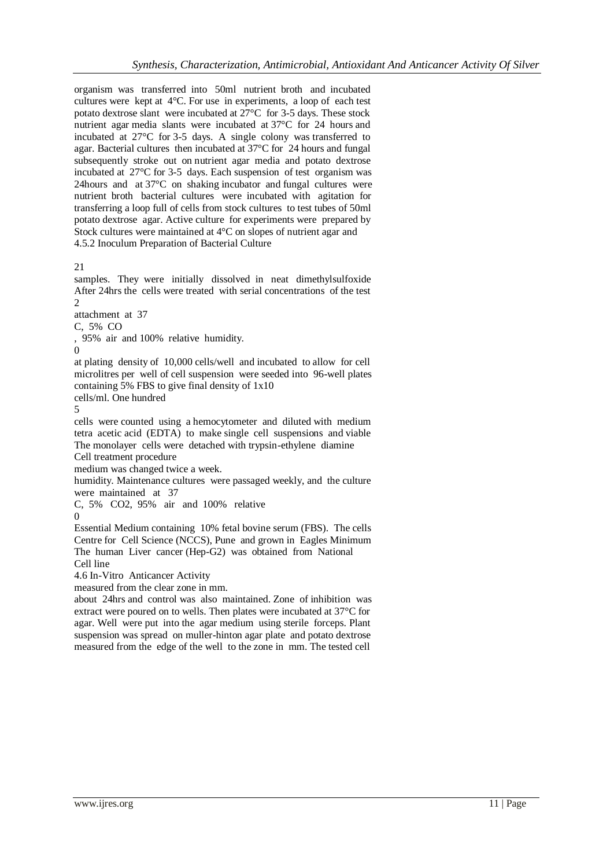organism was transferred into 50ml nutrient broth and incubated cultures were kept at 4°C. For use in experiments, a loop of each test potato dextrose slant were incubated at 27°C for 3-5 days. These stock nutrient agar media slants were incubated at 37°C for 24 hours and incubated at 27°C for 3-5 days. A single colony was transferred to agar. Bacterial cultures then incubated at 37°C for 24 hours and fungal subsequently stroke out on nutrient agar media and potato dextrose incubated at 27°C for 3-5 days. Each suspension of test organism was 24hours and at 37°C on shaking incubator and fungal cultures were nutrient broth bacterial cultures were incubated with agitation for transferring a loop full of cells from stock cultures to test tubes of 50ml potato dextrose agar. Active culture for experiments were prepared by Stock cultures were maintained at 4°C on slopes of nutrient agar and 4.5.2 Inoculum Preparation of Bacterial Culture

21

samples. They were initially dissolved in neat dimethylsulfoxide After 24hrs the cells were treated with serial concentrations of the test  $\gamma$ 

attachment at 37

C, 5% CO

, 95% air and 100% relative humidity.

 $\Omega$ 

at plating density of 10,000 cells/well and incubated to allow for cell microlitres per well of cell suspension were seeded into 96-well plates containing 5% FBS to give final density of 1x10

cells/ml. One hundred

5

cells were counted using a hemocytometer and diluted with medium tetra acetic acid (EDTA) to make single cell suspensions and viable The monolayer cells were detached with trypsin-ethylene diamine Cell treatment procedure

medium was changed twice a week.

humidity. Maintenance cultures were passaged weekly, and the culture were maintained at 37

C, 5% CO2, 95% air and 100% relative

 $\Omega$ 

Essential Medium containing 10% fetal bovine serum (FBS). The cells Centre for Cell Science (NCCS), Pune and grown in Eagles Minimum The human Liver cancer (Hep-G2) was obtained from National Cell line

4.6 In-Vitro Anticancer Activity

measured from the clear zone in mm.

about 24hrs and control was also maintained. Zone of inhibition was extract were poured on to wells. Then plates were incubated at 37°C for agar. Well were put into the agar medium using sterile forceps. Plant suspension was spread on muller-hinton agar plate and potato dextrose measured from the edge of the well to the zone in mm. The tested cell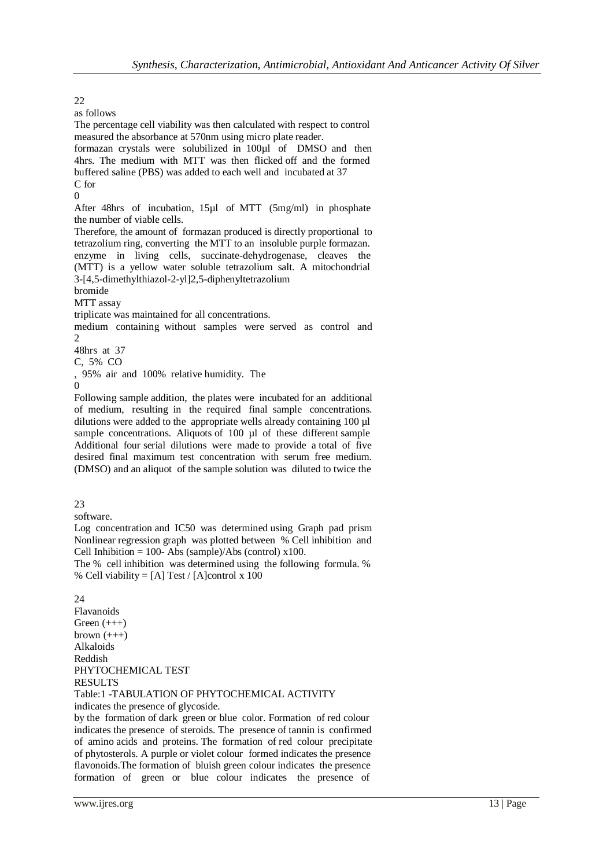as follows The percentage cell viability was then calculated with respect to control measured the absorbance at 570nm using micro plate reader. formazan crystals were solubilized in 100µl of DMSO and then 4hrs. The medium with MTT was then flicked off and the formed buffered saline (PBS) was added to each well and incubated at 37 C for  $\Omega$ After 48hrs of incubation, 15µl of MTT (5mg/ml) in phosphate the number of viable cells. Therefore, the amount of formazan produced is directly proportional to tetrazolium ring, converting the MTT to an insoluble purple formazan. enzyme in living cells, succinate-dehydrogenase, cleaves the (MTT) is a yellow water soluble tetrazolium salt. A mitochondrial 3-[4,5-dimethylthiazol-2-yl]2,5-diphenyltetrazolium bromide MTT assay triplicate was maintained for all concentrations. medium containing without samples were served as control and  $\mathfrak{D}$ 48hrs at 37 C, 5% CO , 95% air and 100% relative humidity. The  $\Omega$ Following sample addition, the plates were incubated for an additional of medium, resulting in the required final sample concentrations. dilutions were added to the appropriate wells already containing 100 µl sample concentrations. Aliquots of 100 µl of these different sample Additional four serial dilutions were made to provide a total of five desired final maximum test concentration with serum free medium. (DMSO) and an aliquot of the sample solution was diluted to twice the

23

software.

Log concentration and IC50 was determined using Graph pad prism Nonlinear regression graph was plotted between % Cell inhibition and Cell Inhibition = 100- Abs (sample)/Abs (control)  $x100$ .

The % cell inhibition was determined using the following formula. % % Cell viability = [A] Test / [A]control x 100

## 24

Flavanoids Green (+++) brown  $(++)$ Alkaloids Reddish PHYTOCHEMICAL TEST RESULTS

Table:1 -TABULATION OF PHYTOCHEMICAL ACTIVITY indicates the presence of glycoside.

by the formation of dark green or blue color. Formation of red colour indicates the presence of steroids. The presence of tannin is confirmed of amino acids and proteins. The formation of red colour precipitate of phytosterols. A purple or violet colour formed indicates the presence flavonoids.The formation of bluish green colour indicates the presence formation of green or blue colour indicates the presence of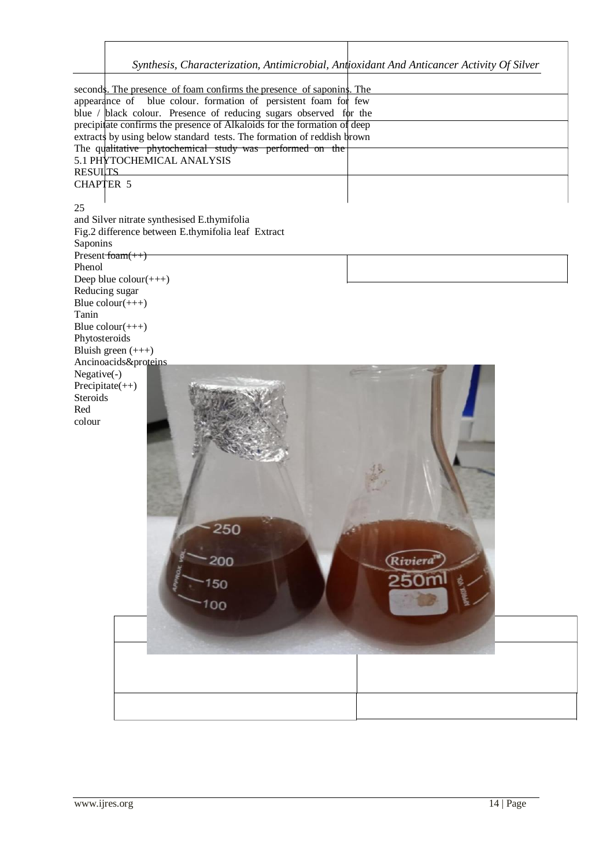*Synthesis, Characterization, Antimicrobial, Antioxidant And Anticancer Activity Of Silver*

seconds. The presence of foam confirms the presence of saponins. The appearance of blue colour. formation of persistent foam for few blue /  $black$  colour. Presence of reducing sugars observed for the precipitate confirms the presence of Alkaloids for the formation of deep extracts by using below standard tests. The formation of reddish brown The qualitative phytochemical study was performed on the 5.1 PHYTOCHEMICAL ANALYSIS RESUL<sub>TS</sub> CHAPTER 5 25 and Silver nitrate synthesised E.thymifolia Fig.2 difference between E.thymifolia leaf Extract Saponins  $Present$ foam(++) Phenol Deep blue  $\text{colour}(++)$ Reducing sugar Blue  $\text{colour}(++)$ Tanin Blue  $\text{colour}(+++)$ Phytosteroids Bluish green (+++) Ancinoacids&proteins Negative(-) Precipitate(++) **Steroids** Red colour250 200 .<br>Rivieri 150 00